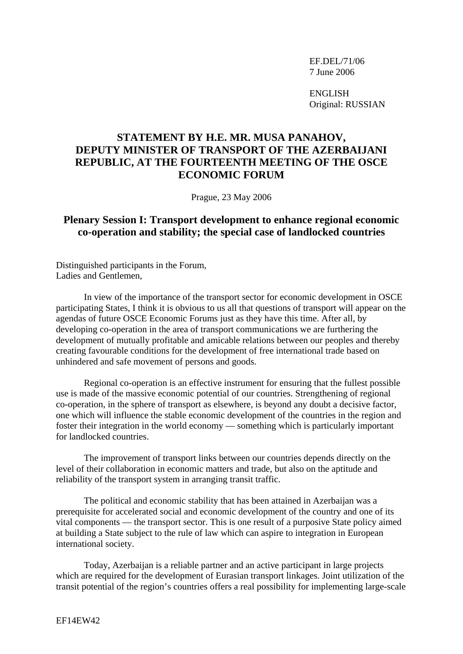EF.DEL/71/06 7 June 2006

ENGLISH Original: RUSSIAN

## **STATEMENT BY H.E. MR. MUSA PANAHOV, DEPUTY MINISTER OF TRANSPORT OF THE AZERBAIJANI REPUBLIC, AT THE FOURTEENTH MEETING OF THE OSCE ECONOMIC FORUM**

Prague, 23 May 2006

## **Plenary Session I: Transport development to enhance regional economic co-operation and stability; the special case of landlocked countries**

Distinguished participants in the Forum, Ladies and Gentlemen,

 In view of the importance of the transport sector for economic development in OSCE participating States, I think it is obvious to us all that questions of transport will appear on the agendas of future OSCE Economic Forums just as they have this time. After all, by developing co-operation in the area of transport communications we are furthering the development of mutually profitable and amicable relations between our peoples and thereby creating favourable conditions for the development of free international trade based on unhindered and safe movement of persons and goods.

 Regional co-operation is an effective instrument for ensuring that the fullest possible use is made of the massive economic potential of our countries. Strengthening of regional co-operation, in the sphere of transport as elsewhere, is beyond any doubt a decisive factor, one which will influence the stable economic development of the countries in the region and foster their integration in the world economy — something which is particularly important for landlocked countries.

 The improvement of transport links between our countries depends directly on the level of their collaboration in economic matters and trade, but also on the aptitude and reliability of the transport system in arranging transit traffic.

 The political and economic stability that has been attained in Azerbaijan was a prerequisite for accelerated social and economic development of the country and one of its vital components — the transport sector. This is one result of a purposive State policy aimed at building a State subject to the rule of law which can aspire to integration in European international society.

 Today, Azerbaijan is a reliable partner and an active participant in large projects which are required for the development of Eurasian transport linkages. Joint utilization of the transit potential of the region's countries offers a real possibility for implementing large-scale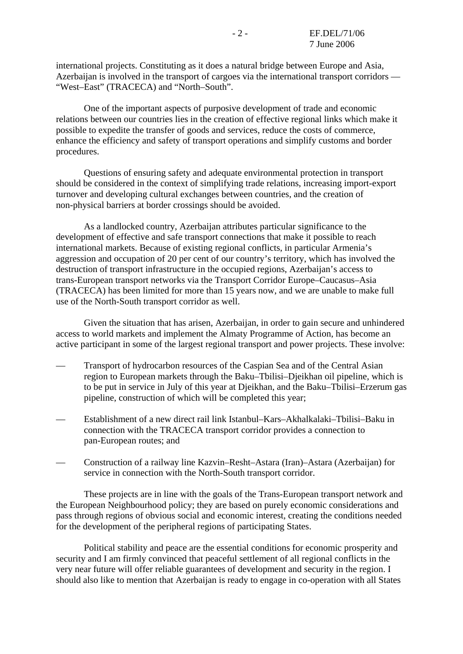international projects. Constituting as it does a natural bridge between Europe and Asia, Azerbaijan is involved in the transport of cargoes via the international transport corridors — "West–East" (TRACECA) and "North–South".

 One of the important aspects of purposive development of trade and economic relations between our countries lies in the creation of effective regional links which make it possible to expedite the transfer of goods and services, reduce the costs of commerce, enhance the efficiency and safety of transport operations and simplify customs and border procedures.

 Questions of ensuring safety and adequate environmental protection in transport should be considered in the context of simplifying trade relations, increasing import-export turnover and developing cultural exchanges between countries, and the creation of non-physical barriers at border crossings should be avoided.

 As a landlocked country, Azerbaijan attributes particular significance to the development of effective and safe transport connections that make it possible to reach international markets. Because of existing regional conflicts, in particular Armenia's aggression and occupation of 20 per cent of our country's territory, which has involved the destruction of transport infrastructure in the occupied regions, Azerbaijan's access to trans-European transport networks via the Transport Corridor Europe–Caucasus–Asia (TRACECA) has been limited for more than 15 years now, and we are unable to make full use of the North-South transport corridor as well.

 Given the situation that has arisen, Azerbaijan, in order to gain secure and unhindered access to world markets and implement the Almaty Programme of Action, has become an active participant in some of the largest regional transport and power projects. These involve:

- Transport of hydrocarbon resources of the Caspian Sea and of the Central Asian region to European markets through the Baku–Tbilisi–Djeikhan oil pipeline, which is to be put in service in July of this year at Djeikhan, and the Baku–Tbilisi–Erzerum gas pipeline, construction of which will be completed this year;
- Establishment of a new direct rail link Istanbul–Kars–Akhalkalaki–Tbilisi–Baku in connection with the TRACECA transport corridor provides a connection to pan-European routes; and
- Construction of a railway line Kazvin–Resht–Astara (Iran)–Astara (Azerbaijan) for service in connection with the North-South transport corridor.

 These projects are in line with the goals of the Trans-European transport network and the European Neighbourhood policy; they are based on purely economic considerations and pass through regions of obvious social and economic interest, creating the conditions needed for the development of the peripheral regions of participating States.

 Political stability and peace are the essential conditions for economic prosperity and security and I am firmly convinced that peaceful settlement of all regional conflicts in the very near future will offer reliable guarantees of development and security in the region. I should also like to mention that Azerbaijan is ready to engage in co-operation with all States